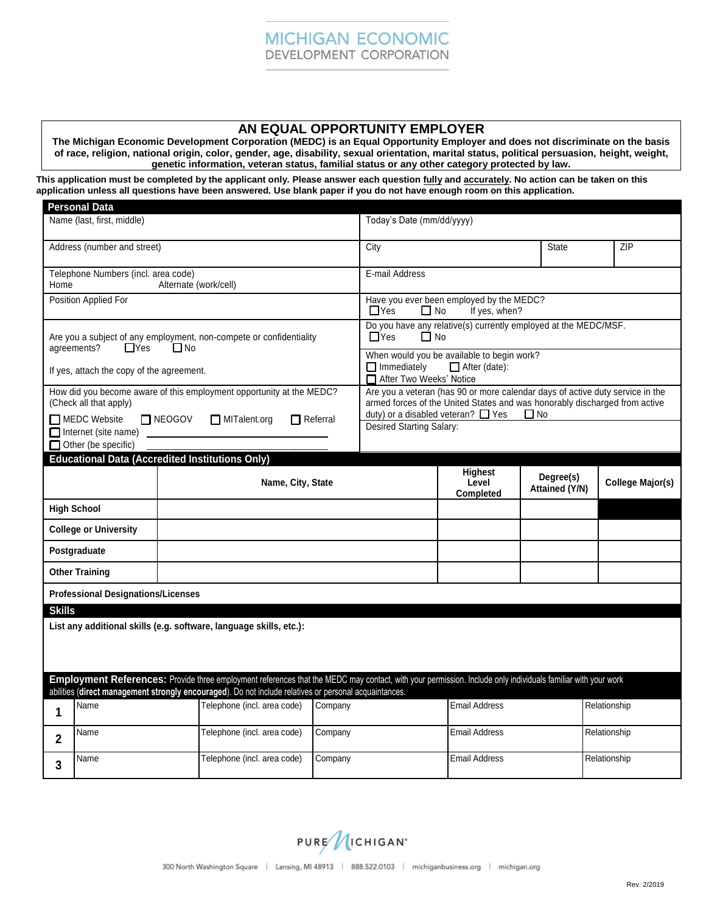## **AN EQUAL OPPORTUNITY EMPLOYER**

**The Michigan Economic Development Corporation (MEDC) is an Equal Opportunity Employer and does not discriminate on the basis of race, religion, national origin, color, gender, age, disability, sexual orientation, marital status, political persuasion, height, weight, genetic information, veteran status, familial status or any other category protected by law.**

**This application must be completed by the applicant only. Please answer each question fully and accurately. No action can be taken on this application unless all questions have been answered. Use blank paper if you do not have enough room on this application.** 

|                                                                                                                                                                                                                                                                        | <b>Personal Data</b>  |                                                        |                   |                                                                                                                                                                                                                     |                                             |                             |                  |  |
|------------------------------------------------------------------------------------------------------------------------------------------------------------------------------------------------------------------------------------------------------------------------|-----------------------|--------------------------------------------------------|-------------------|---------------------------------------------------------------------------------------------------------------------------------------------------------------------------------------------------------------------|---------------------------------------------|-----------------------------|------------------|--|
| Name (last, first, middle)                                                                                                                                                                                                                                             |                       | Today's Date (mm/dd/yyyy)                              |                   |                                                                                                                                                                                                                     |                                             |                             |                  |  |
| Address (number and street)                                                                                                                                                                                                                                            |                       |                                                        | City              |                                                                                                                                                                                                                     | State                                       | ZIP                         |                  |  |
| Telephone Numbers (incl. area code)<br>Alternate (work/cell)<br>Home                                                                                                                                                                                                   |                       |                                                        |                   | E-mail Address                                                                                                                                                                                                      |                                             |                             |                  |  |
| Position Applied For                                                                                                                                                                                                                                                   |                       |                                                        |                   | Have you ever been employed by the MEDC?<br>$\Box$ Yes<br>If yes, when?<br>$\Box$ No                                                                                                                                |                                             |                             |                  |  |
| Are you a subject of any employment, non-compete or confidentiality<br>$\Box$ Yes<br>agreements?<br>$\Box$ No                                                                                                                                                          |                       |                                                        |                   | Do you have any relative(s) currently employed at the MEDC/MSF.<br>$\Box$ Yes<br>$\Box$ No                                                                                                                          |                                             |                             |                  |  |
| If yes, attach the copy of the agreement.                                                                                                                                                                                                                              |                       |                                                        |                   | When would you be available to begin work?<br>$\Box$ Immediately<br>After (date):<br>After Two Weeks' Notice                                                                                                        |                                             |                             |                  |  |
| How did you become aware of this employment opportunity at the MEDC?<br>(Check all that apply)                                                                                                                                                                         |                       |                                                        |                   | Are you a veteran (has 90 or more calendar days of active duty service in the<br>armed forces of the United States and was honorably discharged from active<br>duty) or a disabled veteran? $\Box$ Yes<br>$\Box$ No |                                             |                             |                  |  |
| MEDC Website<br><b>NEOGOV</b><br>MITalent.org<br>$\Box$ Referral<br>Internet (site name)<br>Other (be specific)                                                                                                                                                        |                       |                                                        |                   | Desired Starting Salary:                                                                                                                                                                                            |                                             |                             |                  |  |
|                                                                                                                                                                                                                                                                        |                       | <b>Educational Data (Accredited Institutions Only)</b> |                   |                                                                                                                                                                                                                     |                                             |                             |                  |  |
|                                                                                                                                                                                                                                                                        |                       |                                                        | Name, City, State |                                                                                                                                                                                                                     | <b>Highest</b><br>Level<br><b>Completed</b> | Degree(s)<br>Attained (Y/N) | College Major(s) |  |
|                                                                                                                                                                                                                                                                        | <b>High School</b>    |                                                        |                   |                                                                                                                                                                                                                     |                                             |                             |                  |  |
| <b>College or University</b>                                                                                                                                                                                                                                           |                       |                                                        |                   |                                                                                                                                                                                                                     |                                             |                             |                  |  |
| Postgraduate                                                                                                                                                                                                                                                           |                       |                                                        |                   |                                                                                                                                                                                                                     |                                             |                             |                  |  |
|                                                                                                                                                                                                                                                                        | <b>Other Training</b> |                                                        |                   |                                                                                                                                                                                                                     |                                             |                             |                  |  |
| <b>Professional Designations/Licenses</b>                                                                                                                                                                                                                              |                       |                                                        |                   |                                                                                                                                                                                                                     |                                             |                             |                  |  |
| <b>Skills</b>                                                                                                                                                                                                                                                          |                       |                                                        |                   |                                                                                                                                                                                                                     |                                             |                             |                  |  |
| List any additional skills (e.g. software, language skills, etc.):                                                                                                                                                                                                     |                       |                                                        |                   |                                                                                                                                                                                                                     |                                             |                             |                  |  |
| Employment References: Provide three employment references that the MEDC may contact, with your permission. Include only individuals familiar with your work<br>abilities (direct management strongly encouraged). Do not include relatives or personal acquaintances. |                       |                                                        |                   |                                                                                                                                                                                                                     |                                             |                             |                  |  |
| 1                                                                                                                                                                                                                                                                      | Name                  | Telephone (incl. area code)                            | Company           |                                                                                                                                                                                                                     | <b>Email Address</b>                        |                             | Relationship     |  |
|                                                                                                                                                                                                                                                                        |                       |                                                        |                   |                                                                                                                                                                                                                     |                                             |                             |                  |  |
| $\mathbf 2$                                                                                                                                                                                                                                                            | Name                  | Telephone (incl. area code)                            | Company           |                                                                                                                                                                                                                     | <b>Email Address</b>                        |                             | Relationship     |  |